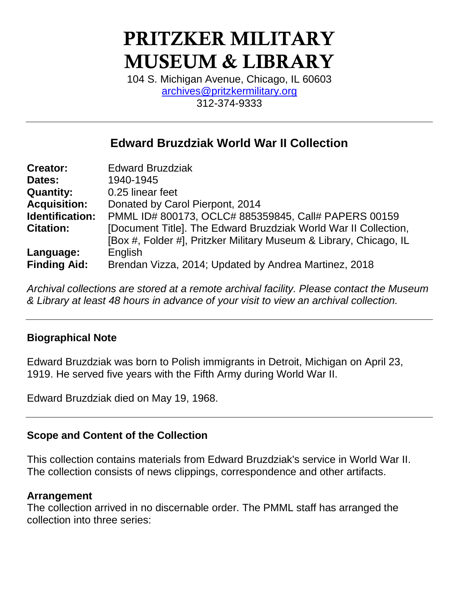# **PRITZKER MILITARY MUSEUM & LIBRARY**

104 S. Michigan Avenue, Chicago, IL 60603 [archives@pritzkermilitary.org](mailto:archives@pritzkermilitary.org) 312-374-9333

# **Edward Bruzdziak World War II Collection**

| <b>Creator:</b>     | <b>Edward Bruzdziak</b>                                            |  |  |
|---------------------|--------------------------------------------------------------------|--|--|
| Dates:              | 1940-1945                                                          |  |  |
| <b>Quantity:</b>    | 0.25 linear feet                                                   |  |  |
| <b>Acquisition:</b> | Donated by Carol Pierpont, 2014                                    |  |  |
| Identification:     | PMML ID# 800173, OCLC# 885359845, Call# PAPERS 00159               |  |  |
| <b>Citation:</b>    | [Document Title]. The Edward Bruzdziak World War II Collection,    |  |  |
|                     | [Box #, Folder #], Pritzker Military Museum & Library, Chicago, IL |  |  |
| Language:           | English                                                            |  |  |
| <b>Finding Aid:</b> | Brendan Vizza, 2014; Updated by Andrea Martinez, 2018              |  |  |

*Archival collections are stored at a remote archival facility. Please contact the Museum & Library at least 48 hours in advance of your visit to view an archival collection.*

### **Biographical Note**

Edward Bruzdziak was born to Polish immigrants in Detroit, Michigan on April 23, 1919. He served five years with the Fifth Army during World War II.

Edward Bruzdziak died on May 19, 1968.

### **Scope and Content of the Collection**

This collection contains materials from Edward Bruzdziak's service in World War II. The collection consists of news clippings, correspondence and other artifacts.

#### **Arrangement**

The collection arrived in no discernable order. The PMML staff has arranged the collection into three series: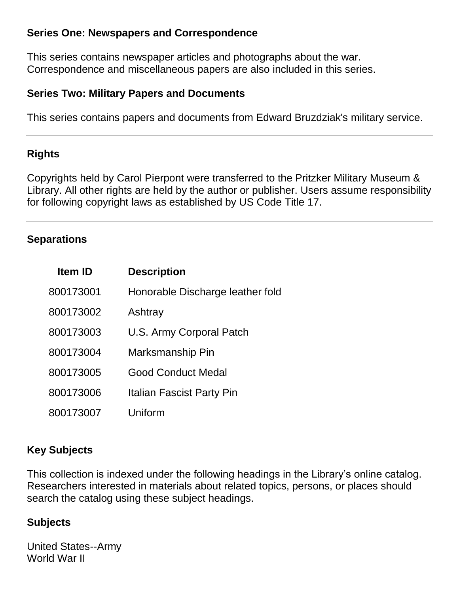### **Series One: Newspapers and Correspondence**

This series contains newspaper articles and photographs about the war. Correspondence and miscellaneous papers are also included in this series.

#### **Series Two: Military Papers and Documents**

This series contains papers and documents from Edward Bruzdziak's military service.

## **Rights**

Copyrights held by Carol Pierpont were transferred to the Pritzker Military Museum & Library. All other rights are held by the author or publisher. Users assume responsibility for following copyright laws as established by US Code Title 17.

## **Separations**

| <b>Item ID</b> | <b>Description</b>               |
|----------------|----------------------------------|
| 800173001      | Honorable Discharge leather fold |
| 800173002      | Ashtray                          |
| 800173003      | U.S. Army Corporal Patch         |
| 800173004      | Marksmanship Pin                 |
| 800173005      | <b>Good Conduct Medal</b>        |
| 800173006      | Italian Fascist Party Pin        |
| 800173007      | Uniform                          |

# **Key Subjects**

This collection is indexed under the following headings in the Library's online catalog. Researchers interested in materials about related topics, persons, or places should search the catalog using these subject headings.

### **Subjects**

United States--Army World War II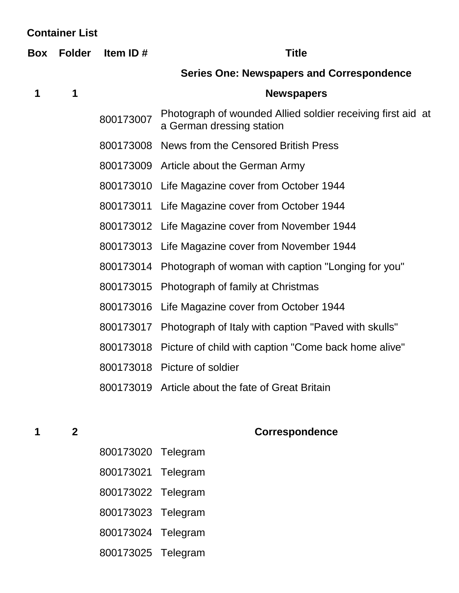| <b>Container List</b> |               |             |                                                                                          |  |  |
|-----------------------|---------------|-------------|------------------------------------------------------------------------------------------|--|--|
| Box                   | <b>Folder</b> | Item ID $#$ | <b>Title</b>                                                                             |  |  |
|                       |               |             | <b>Series One: Newspapers and Correspondence</b>                                         |  |  |
| 1                     | 1             |             | <b>Newspapers</b>                                                                        |  |  |
|                       |               | 800173007   | Photograph of wounded Allied soldier receiving first aid at<br>a German dressing station |  |  |
|                       |               |             | 800173008 News from the Censored British Press                                           |  |  |
|                       |               |             | 800173009 Article about the German Army                                                  |  |  |
|                       |               |             | 800173010 Life Magazine cover from October 1944                                          |  |  |
|                       |               |             | 800173011 Life Magazine cover from October 1944                                          |  |  |
|                       |               |             | 800173012 Life Magazine cover from November 1944                                         |  |  |
|                       |               |             | 800173013 Life Magazine cover from November 1944                                         |  |  |
|                       |               | 800173014   | Photograph of woman with caption "Longing for you"                                       |  |  |
|                       |               | 800173015   | Photograph of family at Christmas                                                        |  |  |
|                       |               | 800173016   | Life Magazine cover from October 1944                                                    |  |  |
|                       |               | 800173017   | Photograph of Italy with caption "Paved with skulls"                                     |  |  |
|                       |               | 800173018   | Picture of child with caption "Come back home alive"                                     |  |  |
|                       |               |             | 800173018 Picture of soldier                                                             |  |  |
|                       |               | 800173019   | Article about the fate of Great Britain                                                  |  |  |

# **2 Correspondence**

- Telegram
- Telegram
- Telegram
- Telegram
- Telegram
- Telegram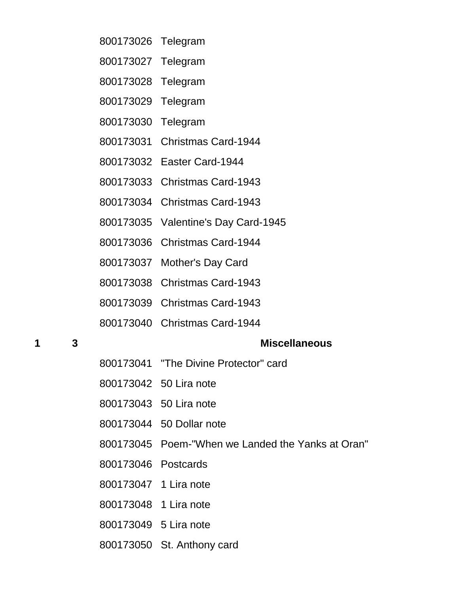- Telegram
- Telegram
- Telegram
- Telegram
- Telegram
- Christmas Card-1944
- Easter Card-1944
- Christmas Card-1943
- Christmas Card-1943
- Valentine's Day Card-1945
- Christmas Card-1944
- Mother's Day Card
- Christmas Card-1943
- Christmas Card-1943
- Christmas Card-1944

#### **3 Miscellaneous**

- "The Divine Protector" card
- 50 Lira note
- 50 Lira note
- 50 Dollar note
- Poem-"When we Landed the Yanks at Oran"
- Postcards
- 1 Lira note
- 1 Lira note
- 5 Lira note
- St. Anthony card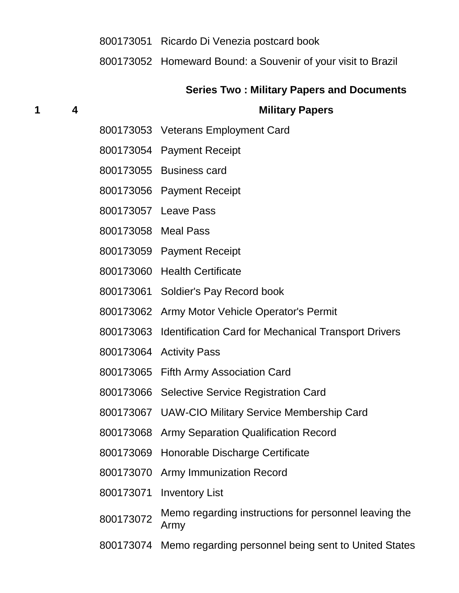#### Ricardo Di Venezia postcard book

Homeward Bound: a Souvenir of your visit to Brazil

#### **Series Two : Military Papers and Documents**

#### **4 Military Papers**

- Veterans Employment Card
- Payment Receipt
- Business card
- Payment Receipt
- Leave Pass
- Meal Pass
- Payment Receipt
- Health Certificate
- Soldier's Pay Record book
- Army Motor Vehicle Operator's Permit
- Identification Card for Mechanical Transport Drivers
- Activity Pass
- Fifth Army Association Card
- Selective Service Registration Card
- UAW-CIO Military Service Membership Card
- Army Separation Qualification Record
- Honorable Discharge Certificate
- Army Immunization Record
- Inventory List
- 800173072 Memo regarding instructions for personnel leaving the Army
- Memo regarding personnel being sent to United States